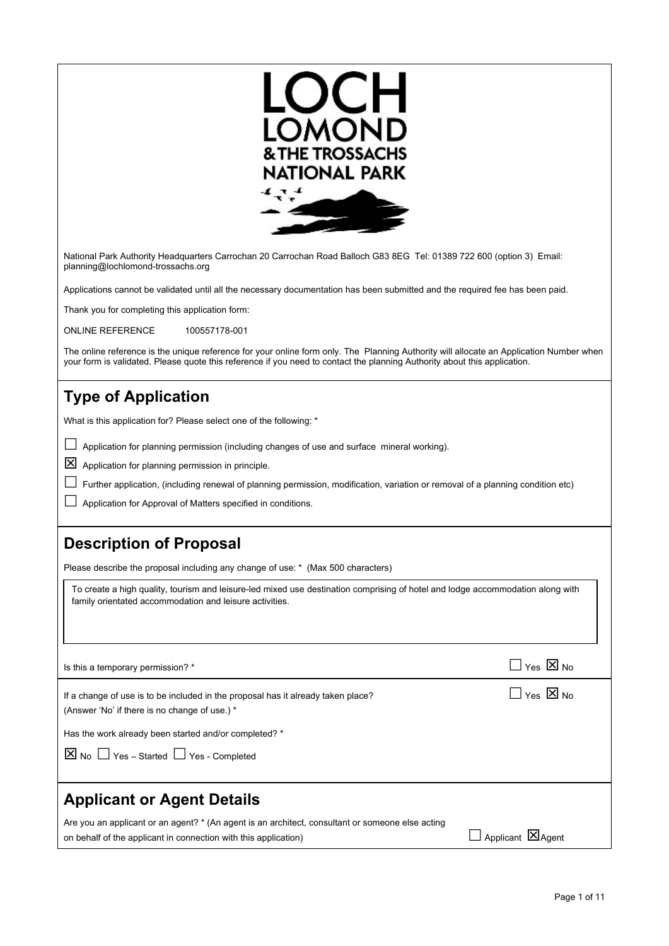| OCH<br>LOMOND<br><b>&amp; THE TROSSACHS</b><br>NATIONAL PARK                                                                                                                                                                                                         |
|----------------------------------------------------------------------------------------------------------------------------------------------------------------------------------------------------------------------------------------------------------------------|
| National Park Authority Headquarters Carrochan 20 Carrochan Road Balloch G83 8EG Tel: 01389 722 600 (option 3) Email:<br>planning@lochlomond-trossachs.org                                                                                                           |
| Applications cannot be validated until all the necessary documentation has been submitted and the required fee has been paid.                                                                                                                                        |
| Thank you for completing this application form:                                                                                                                                                                                                                      |
| <b>ONLINE REFERENCE</b><br>100557178-001                                                                                                                                                                                                                             |
| The online reference is the unique reference for your online form only. The Planning Authority will allocate an Application Number when<br>your form is validated. Please quote this reference if you need to contact the planning Authority about this application. |
| <b>Type of Application</b><br>What is this application for? Please select one of the following: *<br>Application for planning permission (including changes of use and surface mineral working).                                                                     |
| 区<br>Application for planning permission in principle.                                                                                                                                                                                                               |
| Further application, (including renewal of planning permission, modification, variation or removal of a planning condition etc)                                                                                                                                      |
| Application for Approval of Matters specified in conditions.                                                                                                                                                                                                         |
| <b>Description of Proposal</b>                                                                                                                                                                                                                                       |
| Please describe the proposal including any change of use: * (Max 500 characters)                                                                                                                                                                                     |
| To create a high quality, tourism and leisure-led mixed use destination comprising of hotel and lodge accommodation along with<br>family orientated accommodation and leisure activities.                                                                            |
| $\Box$ Yes $\boxtimes$ No<br>Is this a temporary permission? *                                                                                                                                                                                                       |
| $\Box$ Yes $\boxtimes$ No<br>If a change of use is to be included in the proposal has it already taken place?<br>(Answer 'No' if there is no change of use.) *                                                                                                       |
| Has the work already been started and/or completed? *                                                                                                                                                                                                                |
| $\boxed{\times}$ No $\boxed{\phantom{0}}$ Yes – Started $\boxed{\phantom{0}}$ Yes - Completed                                                                                                                                                                        |
| <b>Applicant or Agent Details</b>                                                                                                                                                                                                                                    |
| Are you an applicant or an agent? * (An agent is an architect, consultant or someone else acting<br>$\Box$ Applicant $\boxtimes$ Agent<br>on behalf of the applicant in connection with this application)                                                            |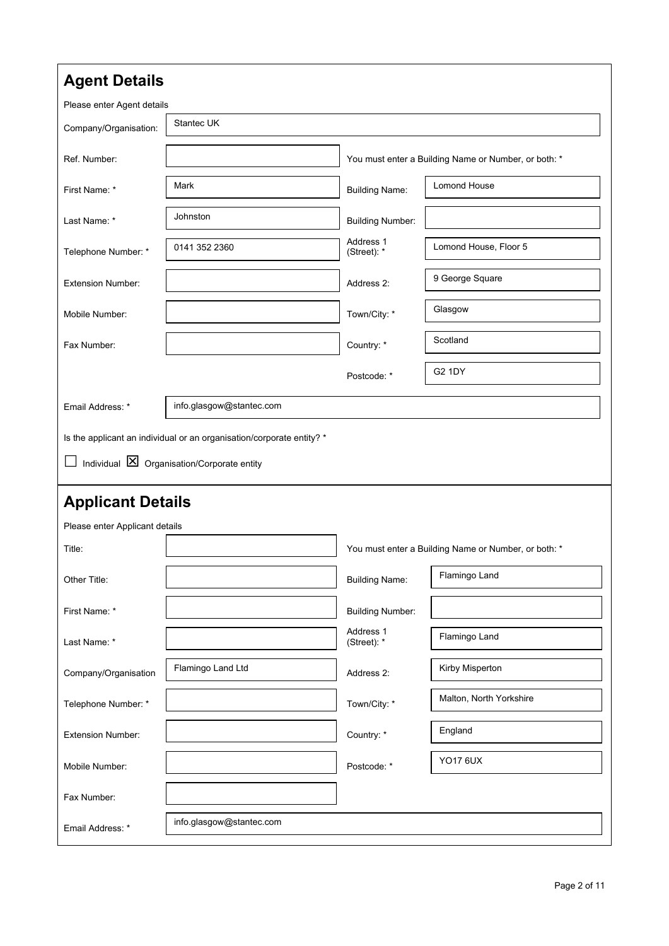| <b>Agent Details</b>           |                                                                                                                               |                          |                                                      |  |
|--------------------------------|-------------------------------------------------------------------------------------------------------------------------------|--------------------------|------------------------------------------------------|--|
| Please enter Agent details     |                                                                                                                               |                          |                                                      |  |
| Company/Organisation:          | Stantec UK                                                                                                                    |                          |                                                      |  |
| Ref. Number:                   |                                                                                                                               |                          | You must enter a Building Name or Number, or both: * |  |
| First Name: *                  | Mark                                                                                                                          | <b>Building Name:</b>    | <b>Lomond House</b>                                  |  |
| Last Name: *                   | Johnston                                                                                                                      | <b>Building Number:</b>  |                                                      |  |
| Telephone Number: *            | 0141 352 2360                                                                                                                 | Address 1<br>(Street): * | Lomond House, Floor 5                                |  |
| <b>Extension Number:</b>       |                                                                                                                               | Address 2:               | 9 George Square                                      |  |
| Mobile Number:                 |                                                                                                                               | Town/City: *             | Glasgow                                              |  |
| Fax Number:                    |                                                                                                                               | Country: *               | Scotland                                             |  |
|                                |                                                                                                                               | Postcode: *              | <b>G2 1DY</b>                                        |  |
| Email Address: *               | info.glasgow@stantec.com                                                                                                      |                          |                                                      |  |
|                                | Is the applicant an individual or an organisation/corporate entity? *<br>Individual $\boxtimes$ Organisation/Corporate entity |                          |                                                      |  |
| <b>Applicant Details</b>       |                                                                                                                               |                          |                                                      |  |
| Please enter Applicant details |                                                                                                                               |                          |                                                      |  |
| Title:                         |                                                                                                                               |                          | You must enter a Building Name or Number, or both: * |  |
| Other Title:                   |                                                                                                                               | <b>Building Name:</b>    | Flamingo Land                                        |  |
| First Name: *                  |                                                                                                                               | <b>Building Number:</b>  |                                                      |  |
| Last Name: *                   |                                                                                                                               | Address 1<br>(Street): * | Flamingo Land                                        |  |
| Company/Organisation           | Flamingo Land Ltd                                                                                                             | Address 2:               | Kirby Misperton                                      |  |
| Telephone Number: *            |                                                                                                                               | Town/City: *             | Malton, North Yorkshire                              |  |
| <b>Extension Number:</b>       |                                                                                                                               | Country: *               | England                                              |  |
| Mobile Number:                 |                                                                                                                               | Postcode: *              | <b>YO17 6UX</b>                                      |  |
| Fax Number:                    |                                                                                                                               |                          |                                                      |  |
| Email Address: *               | info.glasgow@stantec.com                                                                                                      |                          |                                                      |  |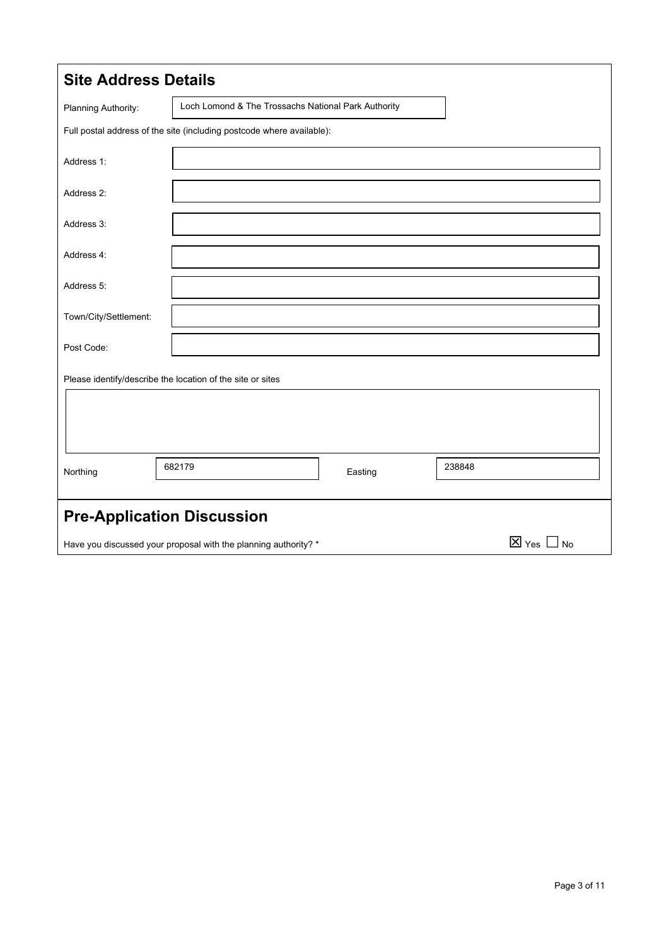| <b>Site Address Details</b>       |                                                                       |         |                           |
|-----------------------------------|-----------------------------------------------------------------------|---------|---------------------------|
| Planning Authority:               | Loch Lomond & The Trossachs National Park Authority                   |         |                           |
|                                   | Full postal address of the site (including postcode where available): |         |                           |
| Address 1:                        |                                                                       |         |                           |
| Address 2:                        |                                                                       |         |                           |
| Address 3:                        |                                                                       |         |                           |
| Address 4:                        |                                                                       |         |                           |
| Address 5:                        |                                                                       |         |                           |
| Town/City/Settlement:             |                                                                       |         |                           |
| Post Code:                        |                                                                       |         |                           |
|                                   | Please identify/describe the location of the site or sites            |         |                           |
|                                   |                                                                       |         |                           |
|                                   |                                                                       |         |                           |
| Northing                          | 682179                                                                | Easting | 238848                    |
|                                   |                                                                       |         |                           |
| <b>Pre-Application Discussion</b> |                                                                       |         |                           |
|                                   | Have you discussed your proposal with the planning authority? *       |         | $\boxtimes$ Yes $\Box$ No |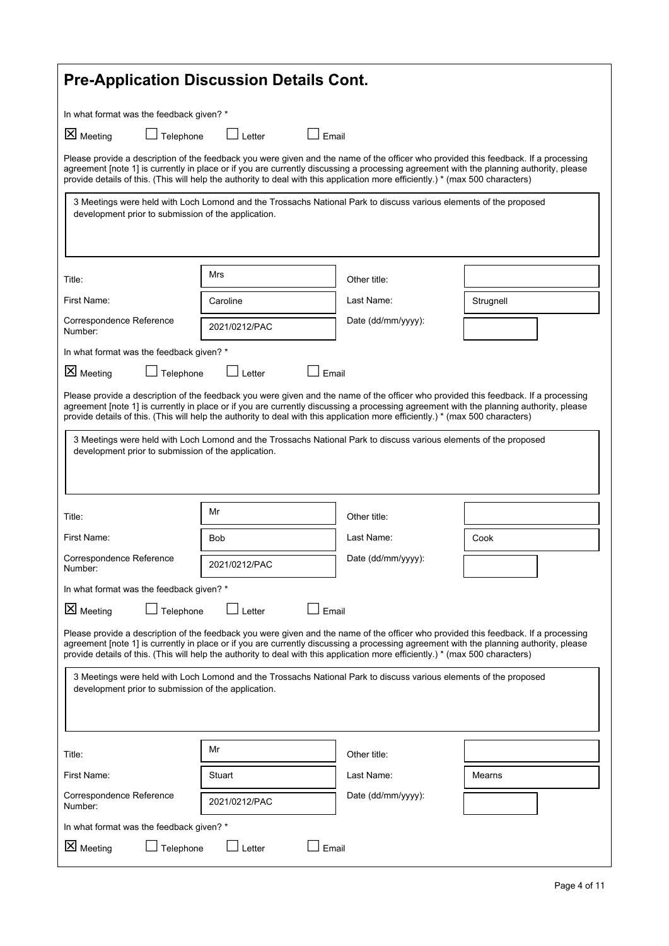| <b>Pre-Application Discussion Details Cont.</b>                                                                                                                                                                                                                                                                                                                                                                 |                                                                                                                   |                    |           |  |
|-----------------------------------------------------------------------------------------------------------------------------------------------------------------------------------------------------------------------------------------------------------------------------------------------------------------------------------------------------------------------------------------------------------------|-------------------------------------------------------------------------------------------------------------------|--------------------|-----------|--|
| In what format was the feedback given? *                                                                                                                                                                                                                                                                                                                                                                        |                                                                                                                   |                    |           |  |
| X Meeting<br>$\perp$ Telephone                                                                                                                                                                                                                                                                                                                                                                                  | $\Box$ Email<br>$\Box$ Letter                                                                                     |                    |           |  |
| Please provide a description of the feedback you were given and the name of the officer who provided this feedback. If a processing<br>agreement [note 1] is currently in place or if you are currently discussing a processing agreement with the planning authority, please<br>provide details of this. (This will help the authority to deal with this application more efficiently.) * (max 500 characters) |                                                                                                                   |                    |           |  |
| development prior to submission of the application.                                                                                                                                                                                                                                                                                                                                                             | 3 Meetings were held with Loch Lomond and the Trossachs National Park to discuss various elements of the proposed |                    |           |  |
| Title:                                                                                                                                                                                                                                                                                                                                                                                                          | Mrs                                                                                                               | Other title:       |           |  |
| First Name:                                                                                                                                                                                                                                                                                                                                                                                                     | Caroline                                                                                                          | Last Name:         | Strugnell |  |
| Correspondence Reference<br>Number:                                                                                                                                                                                                                                                                                                                                                                             | 2021/0212/PAC                                                                                                     | Date (dd/mm/yyyy): |           |  |
| In what format was the feedback given? *                                                                                                                                                                                                                                                                                                                                                                        |                                                                                                                   |                    |           |  |
| X Meeting<br>Telephone                                                                                                                                                                                                                                                                                                                                                                                          | Email<br>Letter                                                                                                   |                    |           |  |
| Please provide a description of the feedback you were given and the name of the officer who provided this feedback. If a processing<br>agreement [note 1] is currently in place or if you are currently discussing a processing agreement with the planning authority, please<br>provide details of this. (This will help the authority to deal with this application more efficiently.) * (max 500 characters) |                                                                                                                   |                    |           |  |
| development prior to submission of the application.                                                                                                                                                                                                                                                                                                                                                             | 3 Meetings were held with Loch Lomond and the Trossachs National Park to discuss various elements of the proposed |                    |           |  |
| Title:                                                                                                                                                                                                                                                                                                                                                                                                          | Mr                                                                                                                | Other title:       |           |  |
| First Name:                                                                                                                                                                                                                                                                                                                                                                                                     | <b>Bob</b>                                                                                                        | Last Name:         | Cook      |  |
| Correspondence Reference<br>Number:                                                                                                                                                                                                                                                                                                                                                                             | 2021/0212/PAC                                                                                                     | Date (dd/mm/yyyy): |           |  |
| In what format was the feedback given? *                                                                                                                                                                                                                                                                                                                                                                        |                                                                                                                   |                    |           |  |
| <b>X</b> Meeting<br>Telephone                                                                                                                                                                                                                                                                                                                                                                                   | Email<br>Letter                                                                                                   |                    |           |  |
| Please provide a description of the feedback you were given and the name of the officer who provided this feedback. If a processing<br>agreement [note 1] is currently in place or if you are currently discussing a processing agreement with the planning authority, please<br>provide details of this. (This will help the authority to deal with this application more efficiently.) * (max 500 characters) |                                                                                                                   |                    |           |  |
| 3 Meetings were held with Loch Lomond and the Trossachs National Park to discuss various elements of the proposed<br>development prior to submission of the application.                                                                                                                                                                                                                                        |                                                                                                                   |                    |           |  |
| Title:                                                                                                                                                                                                                                                                                                                                                                                                          | Mr                                                                                                                | Other title:       |           |  |
| First Name:                                                                                                                                                                                                                                                                                                                                                                                                     | Stuart                                                                                                            | Last Name:         | Mearns    |  |
| Correspondence Reference<br>Number:                                                                                                                                                                                                                                                                                                                                                                             | 2021/0212/PAC                                                                                                     | Date (dd/mm/yyyy): |           |  |
| In what format was the feedback given? *                                                                                                                                                                                                                                                                                                                                                                        |                                                                                                                   |                    |           |  |
| X Meeting<br>Telephone<br>Letter<br>Email                                                                                                                                                                                                                                                                                                                                                                       |                                                                                                                   |                    |           |  |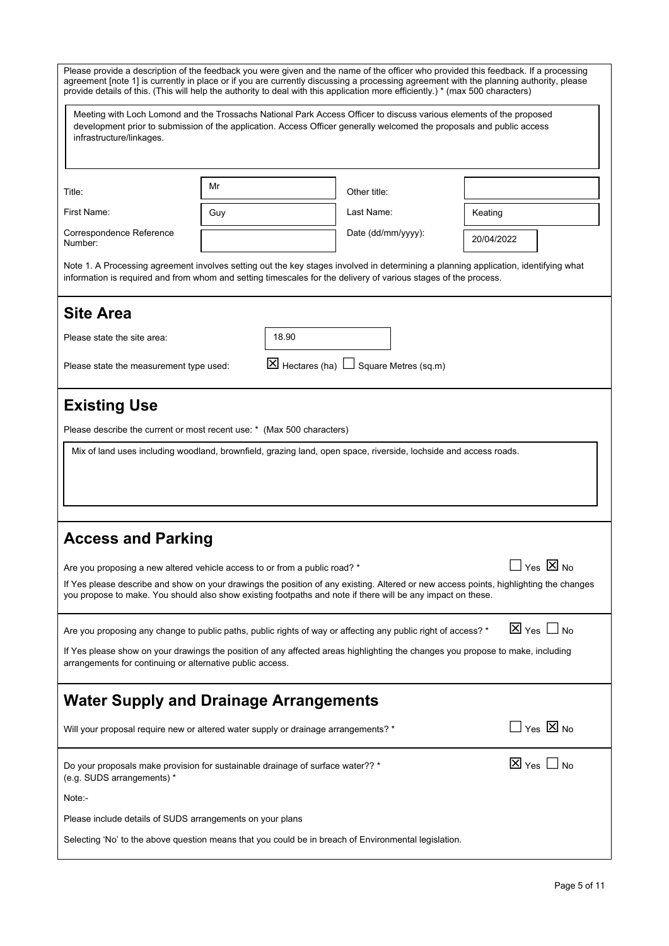| Please provide a description of the feedback you were given and the name of the officer who provided this feedback. If a processing<br>agreement [note 1] is currently in place or if you are currently discussing a processing agreement with the planning authority, please                                                                                                                              |     |                                  |                      |                              |
|------------------------------------------------------------------------------------------------------------------------------------------------------------------------------------------------------------------------------------------------------------------------------------------------------------------------------------------------------------------------------------------------------------|-----|----------------------------------|----------------------|------------------------------|
| provide details of this. (This will help the authority to deal with this application more efficiently.) * (max 500 characters)<br>Meeting with Loch Lomond and the Trossachs National Park Access Officer to discuss various elements of the proposed<br>development prior to submission of the application. Access Officer generally welcomed the proposals and public access<br>infrastructure/linkages. |     |                                  |                      |                              |
| Title:                                                                                                                                                                                                                                                                                                                                                                                                     | Mr  |                                  | Other title:         |                              |
| First Name:                                                                                                                                                                                                                                                                                                                                                                                                | Guy |                                  | Last Name:           | Keating                      |
| Correspondence Reference<br>Number:                                                                                                                                                                                                                                                                                                                                                                        |     |                                  | Date (dd/mm/yyyy):   | 20/04/2022                   |
| Note 1. A Processing agreement involves setting out the key stages involved in determining a planning application, identifying what<br>information is required and from whom and setting timescales for the delivery of various stages of the process.                                                                                                                                                     |     |                                  |                      |                              |
| <b>Site Area</b>                                                                                                                                                                                                                                                                                                                                                                                           |     |                                  |                      |                              |
| Please state the site area:                                                                                                                                                                                                                                                                                                                                                                                |     | 18.90                            |                      |                              |
| Please state the measurement type used:                                                                                                                                                                                                                                                                                                                                                                    |     | $\boxtimes$ Hectares (ha) $\Box$ | Square Metres (sq.m) |                              |
| <b>Existing Use</b><br>Please describe the current or most recent use: * (Max 500 characters)<br>Mix of land uses including woodland, brownfield, grazing land, open space, riverside, lochside and access roads.                                                                                                                                                                                          |     |                                  |                      |                              |
| <b>Access and Parking</b><br>│Yes ⊠ No<br>Are you proposing a new altered vehicle access to or from a public road? *<br>If Yes please describe and show on your drawings the position of any existing. Altered or new access points, highlighting the changes<br>you propose to make. You should also show existing footpaths and note if there will be any impact on these.                               |     |                                  |                      |                              |
| Are you proposing any change to public paths, public rights of way or affecting any public right of access? *                                                                                                                                                                                                                                                                                              |     |                                  |                      | $\boxtimes$ Yes $\Box$ No    |
| If Yes please show on your drawings the position of any affected areas highlighting the changes you propose to make, including<br>arrangements for continuing or alternative public access.                                                                                                                                                                                                                |     |                                  |                      |                              |
| <b>Water Supply and Drainage Arrangements</b>                                                                                                                                                                                                                                                                                                                                                              |     |                                  |                      |                              |
| Will your proposal require new or altered water supply or drainage arrangements? *                                                                                                                                                                                                                                                                                                                         |     |                                  |                      | $\square$ Yes $\boxtimes$ No |
| Do your proposals make provision for sustainable drainage of surface water?? *<br>(e.g. SUDS arrangements) *<br>Note:-                                                                                                                                                                                                                                                                                     |     |                                  |                      | $\boxtimes$ Yes $\Box$ No    |
| Please include details of SUDS arrangements on your plans                                                                                                                                                                                                                                                                                                                                                  |     |                                  |                      |                              |
| Selecting 'No' to the above question means that you could be in breach of Environmental legislation.                                                                                                                                                                                                                                                                                                       |     |                                  |                      |                              |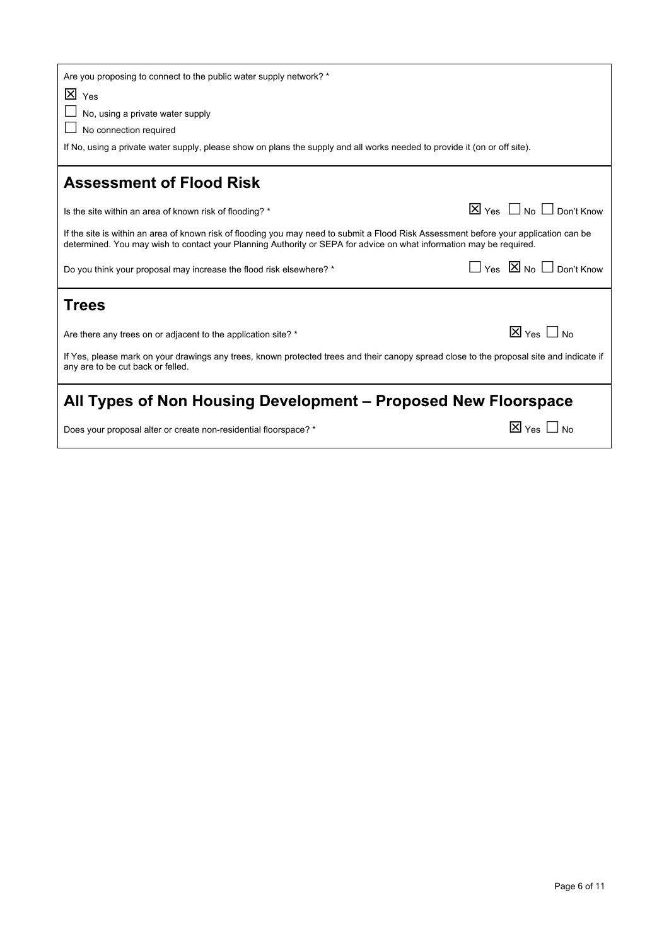| Are you proposing to connect to the public water supply network? *                                                                                                                                                                                           |                                             |
|--------------------------------------------------------------------------------------------------------------------------------------------------------------------------------------------------------------------------------------------------------------|---------------------------------------------|
| $\overline{X}$ Yes<br>No, using a private water supply<br>No connection required<br>If No, using a private water supply, please show on plans the supply and all works needed to provide it (on or off site).                                                |                                             |
| <b>Assessment of Flood Risk</b>                                                                                                                                                                                                                              |                                             |
| Is the site within an area of known risk of flooding? *                                                                                                                                                                                                      | $\boxtimes$ Yes $\Box$ No $\Box$ Don't Know |
| If the site is within an area of known risk of flooding you may need to submit a Flood Risk Assessment before your application can be<br>determined. You may wish to contact your Planning Authority or SEPA for advice on what information may be required. |                                             |
| Do you think your proposal may increase the flood risk elsewhere? *                                                                                                                                                                                          | $\Box$ Yes $\boxtimes$ No $\Box$ Don't Know |
| <b>Trees</b>                                                                                                                                                                                                                                                 |                                             |
| Are there any trees on or adjacent to the application site? *                                                                                                                                                                                                | $\boxtimes$ Yes $\Box$ No                   |
| If Yes, please mark on your drawings any trees, known protected trees and their canopy spread close to the proposal site and indicate if<br>any are to be cut back or felled.                                                                                |                                             |
| All Types of Non Housing Development – Proposed New Floorspace                                                                                                                                                                                               |                                             |
| Does your proposal alter or create non-residential floorspace? *                                                                                                                                                                                             | $\boxtimes$ Yes $\Box$ No                   |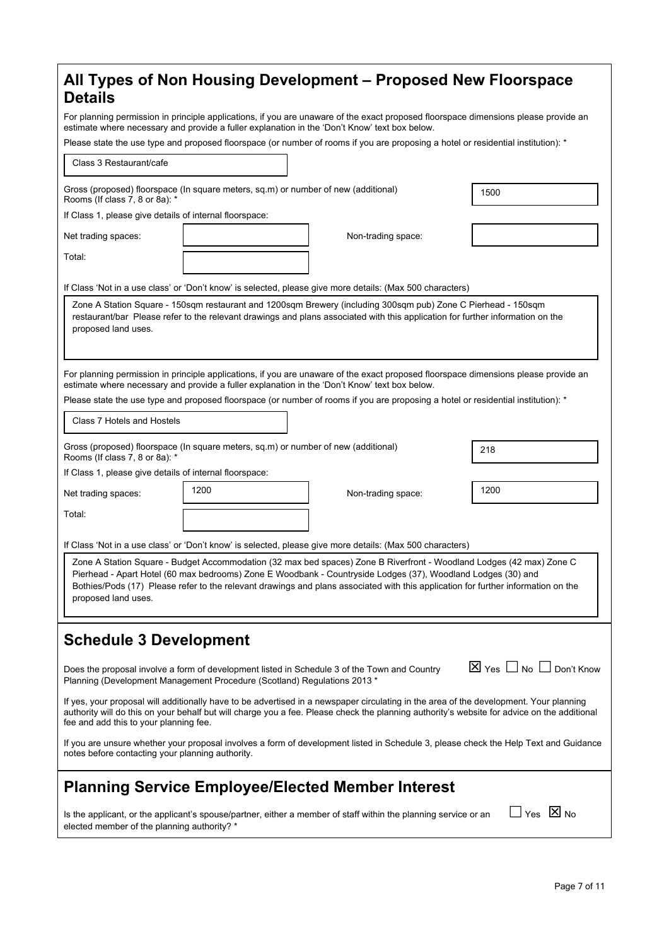| <b>Details</b>                                                                                                                                                                                                                                                                                                                                                                                   |                                                                                    | All Types of Non Housing Development – Proposed New Floorspace                                                                                                                                                                                  |                                                |
|--------------------------------------------------------------------------------------------------------------------------------------------------------------------------------------------------------------------------------------------------------------------------------------------------------------------------------------------------------------------------------------------------|------------------------------------------------------------------------------------|-------------------------------------------------------------------------------------------------------------------------------------------------------------------------------------------------------------------------------------------------|------------------------------------------------|
| For planning permission in principle applications, if you are unaware of the exact proposed floorspace dimensions please provide an<br>estimate where necessary and provide a fuller explanation in the 'Don't Know' text box below.                                                                                                                                                             |                                                                                    |                                                                                                                                                                                                                                                 |                                                |
|                                                                                                                                                                                                                                                                                                                                                                                                  |                                                                                    | Please state the use type and proposed floorspace (or number of rooms if you are proposing a hotel or residential institution): *                                                                                                               |                                                |
| Class 3 Restaurant/cafe                                                                                                                                                                                                                                                                                                                                                                          |                                                                                    |                                                                                                                                                                                                                                                 |                                                |
| Rooms (If class 7, 8 or 8a): *                                                                                                                                                                                                                                                                                                                                                                   | Gross (proposed) floorspace (In square meters, sq.m) or number of new (additional) |                                                                                                                                                                                                                                                 | 1500                                           |
| If Class 1, please give details of internal floorspace:                                                                                                                                                                                                                                                                                                                                          |                                                                                    |                                                                                                                                                                                                                                                 |                                                |
| Net trading spaces:                                                                                                                                                                                                                                                                                                                                                                              |                                                                                    | Non-trading space:                                                                                                                                                                                                                              |                                                |
| Total:                                                                                                                                                                                                                                                                                                                                                                                           |                                                                                    |                                                                                                                                                                                                                                                 |                                                |
|                                                                                                                                                                                                                                                                                                                                                                                                  |                                                                                    | If Class 'Not in a use class' or 'Don't know' is selected, please give more details: (Max 500 characters)                                                                                                                                       |                                                |
| proposed land uses.                                                                                                                                                                                                                                                                                                                                                                              |                                                                                    | Zone A Station Square - 150sqm restaurant and 1200sqm Brewery (including 300sqm pub) Zone C Pierhead - 150sqm<br>restaurant/bar Please refer to the relevant drawings and plans associated with this application for further information on the |                                                |
|                                                                                                                                                                                                                                                                                                                                                                                                  |                                                                                    | For planning permission in principle applications, if you are unaware of the exact proposed floorspace dimensions please provide an                                                                                                             |                                                |
|                                                                                                                                                                                                                                                                                                                                                                                                  |                                                                                    | estimate where necessary and provide a fuller explanation in the 'Don't Know' text box below.                                                                                                                                                   |                                                |
|                                                                                                                                                                                                                                                                                                                                                                                                  |                                                                                    | Please state the use type and proposed floorspace (or number of rooms if you are proposing a hotel or residential institution): *                                                                                                               |                                                |
| Class 7 Hotels and Hostels                                                                                                                                                                                                                                                                                                                                                                       |                                                                                    |                                                                                                                                                                                                                                                 |                                                |
| Rooms (If class 7, 8 or 8a): *                                                                                                                                                                                                                                                                                                                                                                   | Gross (proposed) floorspace (In square meters, sq.m) or number of new (additional) |                                                                                                                                                                                                                                                 | 218                                            |
| If Class 1, please give details of internal floorspace:                                                                                                                                                                                                                                                                                                                                          |                                                                                    |                                                                                                                                                                                                                                                 |                                                |
| Net trading spaces:                                                                                                                                                                                                                                                                                                                                                                              | 1200                                                                               | Non-trading space:                                                                                                                                                                                                                              | 1200                                           |
| Total:                                                                                                                                                                                                                                                                                                                                                                                           |                                                                                    |                                                                                                                                                                                                                                                 |                                                |
|                                                                                                                                                                                                                                                                                                                                                                                                  |                                                                                    | If Class 'Not in a use class' or 'Don't know' is selected, please give more details: (Max 500 characters)                                                                                                                                       |                                                |
| Zone A Station Square - Budget Accommodation (32 max bed spaces) Zone B Riverfront - Woodland Lodges (42 max) Zone C<br>Pierhead - Apart Hotel (60 max bedrooms) Zone E Woodbank - Countryside Lodges (37), Woodland Lodges (30) and<br>Bothies/Pods (17) Please refer to the relevant drawings and plans associated with this application for further information on the<br>proposed land uses. |                                                                                    |                                                                                                                                                                                                                                                 |                                                |
| <b>Schedule 3 Development</b>                                                                                                                                                                                                                                                                                                                                                                    |                                                                                    |                                                                                                                                                                                                                                                 |                                                |
|                                                                                                                                                                                                                                                                                                                                                                                                  | Planning (Development Management Procedure (Scotland) Regulations 2013 *           | Does the proposal involve a form of development listed in Schedule 3 of the Town and Country                                                                                                                                                    | $\boxtimes$ Yes $\Box$ No $\Box$<br>Don't Know |
| If yes, your proposal will additionally have to be advertised in a newspaper circulating in the area of the development. Your planning<br>authority will do this on your behalf but will charge you a fee. Please check the planning authority's website for advice on the additional<br>fee and add this to your planning fee.                                                                  |                                                                                    |                                                                                                                                                                                                                                                 |                                                |
| If you are unsure whether your proposal involves a form of development listed in Schedule 3, please check the Help Text and Guidance<br>notes before contacting your planning authority.                                                                                                                                                                                                         |                                                                                    |                                                                                                                                                                                                                                                 |                                                |
|                                                                                                                                                                                                                                                                                                                                                                                                  |                                                                                    | <b>Planning Service Employee/Elected Member Interest</b>                                                                                                                                                                                        |                                                |
| elected member of the planning authority? *                                                                                                                                                                                                                                                                                                                                                      |                                                                                    | Is the applicant, or the applicant's spouse/partner, either a member of staff within the planning service or an                                                                                                                                 | $\Box$ Yes $\boxtimes$ No                      |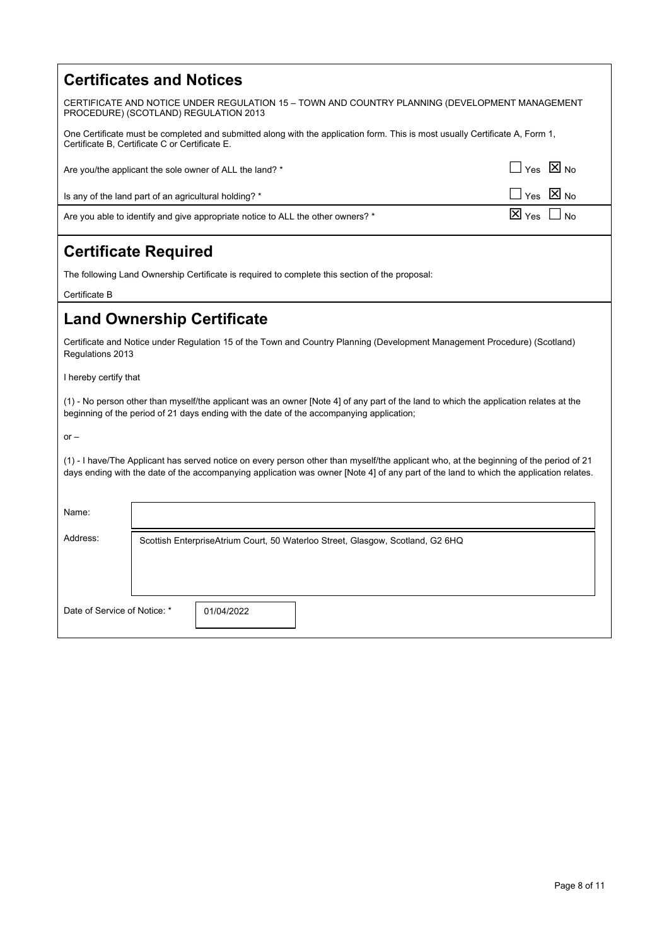#### **Certificates and Notices**

CERTIFICATE AND NOTICE UNDER REGULATION 15 – TOWN AND COUNTRY PLANNING (DEVELOPMENT MANAGEMENT PROCEDURE) (SCOTLAND) REGULATION 2013

One Certificate must be completed and submitted along with the application form. This is most usually Certificate A, Form 1, Certificate B, Certificate C or Certificate E.

| Are you/the applicant the sole owner of ALL the land? *                         | $\Box$ Yes $\boxtimes$ No |
|---------------------------------------------------------------------------------|---------------------------|
| Is any of the land part of an agricultural holding? *                           | $\Box$ Yes $\boxtimes$ No |
| Are you able to identify and give appropriate notice to ALL the other owners? * | $\boxtimes$ Yes $\Box$ No |

## **Certificate Required**

The following Land Ownership Certificate is required to complete this section of the proposal:

Certificate B

#### **Land Ownership Certificate**

Certificate and Notice under Regulation 15 of the Town and Country Planning (Development Management Procedure) (Scotland) Regulations 2013

I hereby certify that

(1) - No person other than myself/the applicant was an owner [Note 4] of any part of the land to which the application relates at the beginning of the period of 21 days ending with the date of the accompanying application;

 $or -$ 

(1) - I have/The Applicant has served notice on every person other than myself/the applicant who, at the beginning of the period of 21 days ending with the date of the accompanying application was owner [Note 4] of any part of the land to which the application relates.

| Scottish EnterpriseAtrium Court, 50 Waterloo Street, Glasgow, Scotland, G2 6HQ |  |
|--------------------------------------------------------------------------------|--|
|                                                                                |  |
|                                                                                |  |
| Date of Service of Notice: *<br>01/04/2022                                     |  |
|                                                                                |  |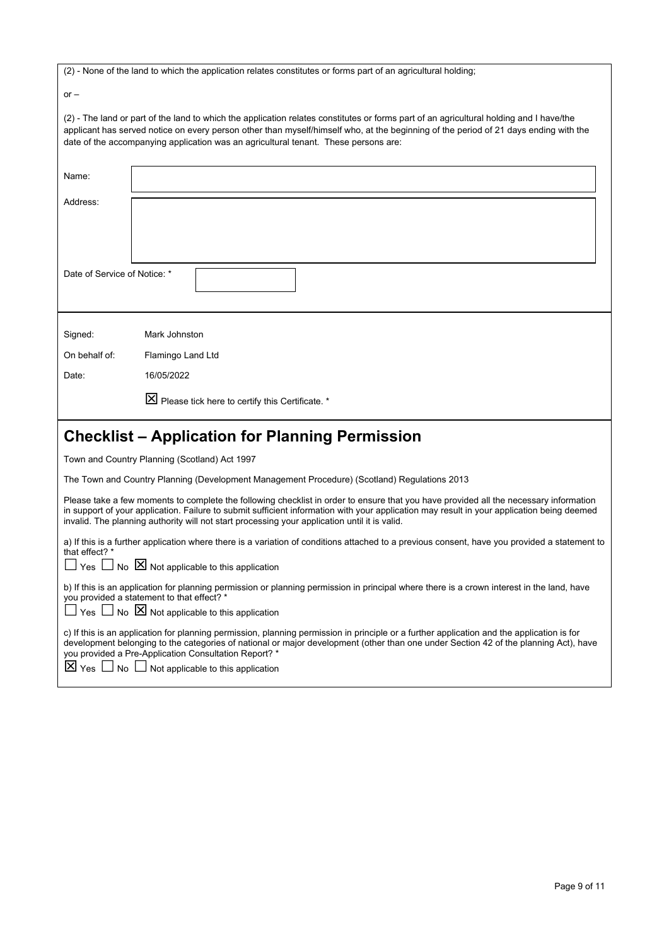(2) - None of the land to which the application relates constitutes or forms part of an agricultural holding;

 $or -$ 

(2) - The land or part of the land to which the application relates constitutes or forms part of an agricultural holding and I have/the applicant has served notice on every person other than myself/himself who, at the beginning of the period of 21 days ending with the date of the accompanying application was an agricultural tenant. These persons are:

| Name:                        |                                                                                                                                                                                                                                                                                                                                                                                      |
|------------------------------|--------------------------------------------------------------------------------------------------------------------------------------------------------------------------------------------------------------------------------------------------------------------------------------------------------------------------------------------------------------------------------------|
| Address:                     |                                                                                                                                                                                                                                                                                                                                                                                      |
|                              |                                                                                                                                                                                                                                                                                                                                                                                      |
| Date of Service of Notice: * |                                                                                                                                                                                                                                                                                                                                                                                      |
| Signed:                      | Mark Johnston                                                                                                                                                                                                                                                                                                                                                                        |
| On behalf of:                | Flamingo Land Ltd                                                                                                                                                                                                                                                                                                                                                                    |
| Date:                        | 16/05/2022                                                                                                                                                                                                                                                                                                                                                                           |
|                              | X Please tick here to certify this Certificate. *                                                                                                                                                                                                                                                                                                                                    |
|                              |                                                                                                                                                                                                                                                                                                                                                                                      |
|                              | <b>Checklist - Application for Planning Permission</b>                                                                                                                                                                                                                                                                                                                               |
|                              | Town and Country Planning (Scotland) Act 1997                                                                                                                                                                                                                                                                                                                                        |
|                              | The Town and Country Planning (Development Management Procedure) (Scotland) Regulations 2013                                                                                                                                                                                                                                                                                         |
|                              | Please take a few moments to complete the following checklist in order to ensure that you have provided all the necessary information<br>in support of your application. Failure to submit sufficient information with your application may result in your application being deemed<br>invalid. The planning authority will not start processing your application until it is valid. |
| that effect? *               | a) If this is a further application where there is a variation of conditions attached to a previous consent, have you provided a statement to<br>Yes $\Box$ No $\boxtimes$ Not applicable to this application                                                                                                                                                                        |
|                              | b) If this is an application for planning permission or planning permission in principal where there is a crown interest in the land, have<br>you provided a statement to that effect? *<br>$Yes \Box No \boxtimes Not applicable to this application$                                                                                                                               |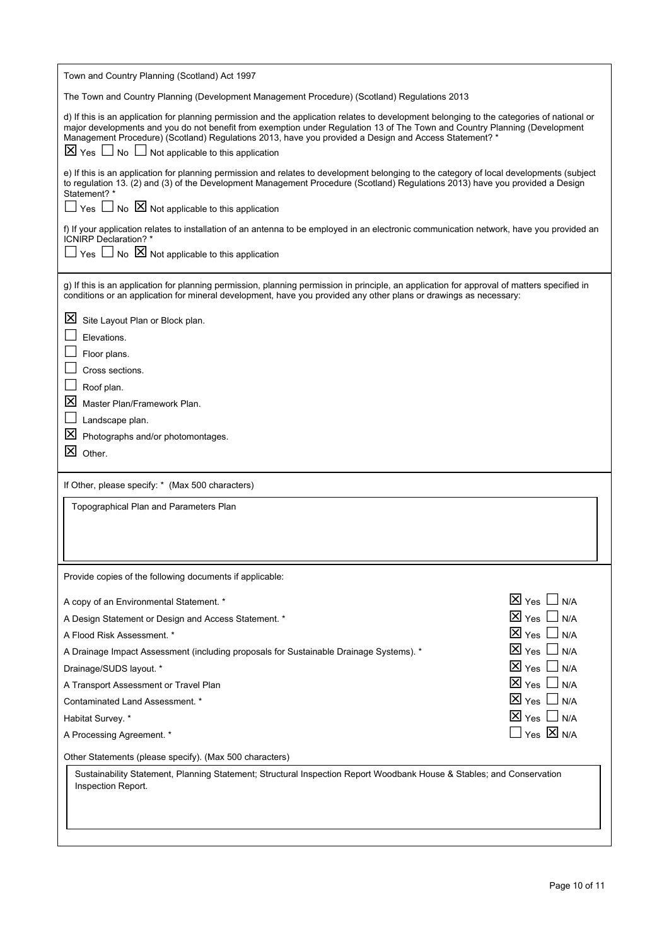| Town and Country Planning (Scotland) Act 1997                                                                                                                                                                                                                                                                                                                                                                                                            |                                                          |
|----------------------------------------------------------------------------------------------------------------------------------------------------------------------------------------------------------------------------------------------------------------------------------------------------------------------------------------------------------------------------------------------------------------------------------------------------------|----------------------------------------------------------|
| The Town and Country Planning (Development Management Procedure) (Scotland) Regulations 2013                                                                                                                                                                                                                                                                                                                                                             |                                                          |
| d) If this is an application for planning permission and the application relates to development belonging to the categories of national or<br>major developments and you do not benefit from exemption under Regulation 13 of The Town and Country Planning (Development<br>Management Procedure) (Scotland) Regulations 2013, have you provided a Design and Access Statement? *<br>$\boxtimes$ Yes $\Box$ No $\Box$ Not applicable to this application |                                                          |
| e) If this is an application for planning permission and relates to development belonging to the category of local developments (subject<br>to regulation 13. (2) and (3) of the Development Management Procedure (Scotland) Regulations 2013) have you provided a Design<br>Statement?*                                                                                                                                                                 |                                                          |
| $\Box$ Yes $\Box$ No $\boxtimes$ Not applicable to this application                                                                                                                                                                                                                                                                                                                                                                                      |                                                          |
| f) If your application relates to installation of an antenna to be employed in an electronic communication network, have you provided an<br>ICNIRP Declaration? *<br>Yes $\Box$ No $\boxtimes$ Not applicable to this application                                                                                                                                                                                                                        |                                                          |
| g) If this is an application for planning permission, planning permission in principle, an application for approval of matters specified in<br>conditions or an application for mineral development, have you provided any other plans or drawings as necessary:                                                                                                                                                                                         |                                                          |
| <u> M</u><br>Site Layout Plan or Block plan.                                                                                                                                                                                                                                                                                                                                                                                                             |                                                          |
| Elevations.                                                                                                                                                                                                                                                                                                                                                                                                                                              |                                                          |
| Floor plans.                                                                                                                                                                                                                                                                                                                                                                                                                                             |                                                          |
| Cross sections.<br>Roof plan.                                                                                                                                                                                                                                                                                                                                                                                                                            |                                                          |
| ⊠<br>Master Plan/Framework Plan.                                                                                                                                                                                                                                                                                                                                                                                                                         |                                                          |
| Landscape plan.                                                                                                                                                                                                                                                                                                                                                                                                                                          |                                                          |
| 凶<br>Photographs and/or photomontages.                                                                                                                                                                                                                                                                                                                                                                                                                   |                                                          |
| 冈<br>Other.                                                                                                                                                                                                                                                                                                                                                                                                                                              |                                                          |
| If Other, please specify: * (Max 500 characters)                                                                                                                                                                                                                                                                                                                                                                                                         |                                                          |
| Topographical Plan and Parameters Plan                                                                                                                                                                                                                                                                                                                                                                                                                   |                                                          |
|                                                                                                                                                                                                                                                                                                                                                                                                                                                          |                                                          |
|                                                                                                                                                                                                                                                                                                                                                                                                                                                          |                                                          |
| Provide copies of the following documents if applicable:                                                                                                                                                                                                                                                                                                                                                                                                 |                                                          |
| A copy of an Environmental Statement. *                                                                                                                                                                                                                                                                                                                                                                                                                  | $\boxtimes$ Yes $\Box$ N/A                               |
| A Design Statement or Design and Access Statement. *                                                                                                                                                                                                                                                                                                                                                                                                     | $\boxtimes$ Yes $\Box$ N/A                               |
| A Flood Risk Assessment. *                                                                                                                                                                                                                                                                                                                                                                                                                               | $\boxtimes$ Yes $\,\bigsqcup\,$<br>N/A                   |
| A Drainage Impact Assessment (including proposals for Sustainable Drainage Systems). *                                                                                                                                                                                                                                                                                                                                                                   | $\boxtimes$ Yes $\Box$ N/A                               |
| Drainage/SUDS layout. *                                                                                                                                                                                                                                                                                                                                                                                                                                  | $\boxtimes$ Yes $\Box$ N/A                               |
| A Transport Assessment or Travel Plan                                                                                                                                                                                                                                                                                                                                                                                                                    | $\boxtimes$ Yes $\Box$ N/A<br>$\boxtimes$ Yes $\Box$ N/A |
| Contaminated Land Assessment. *<br>Habitat Survey. *                                                                                                                                                                                                                                                                                                                                                                                                     | $\boxtimes$ Yes $\Box$ N/A                               |
| A Processing Agreement. *                                                                                                                                                                                                                                                                                                                                                                                                                                | $\vert$ Yes $\boxtimes$ N/A                              |
| Other Statements (please specify). (Max 500 characters)                                                                                                                                                                                                                                                                                                                                                                                                  |                                                          |
| Sustainability Statement, Planning Statement; Structural Inspection Report Woodbank House & Stables; and Conservation                                                                                                                                                                                                                                                                                                                                    |                                                          |
| Inspection Report.                                                                                                                                                                                                                                                                                                                                                                                                                                       |                                                          |
|                                                                                                                                                                                                                                                                                                                                                                                                                                                          |                                                          |
|                                                                                                                                                                                                                                                                                                                                                                                                                                                          |                                                          |
|                                                                                                                                                                                                                                                                                                                                                                                                                                                          |                                                          |